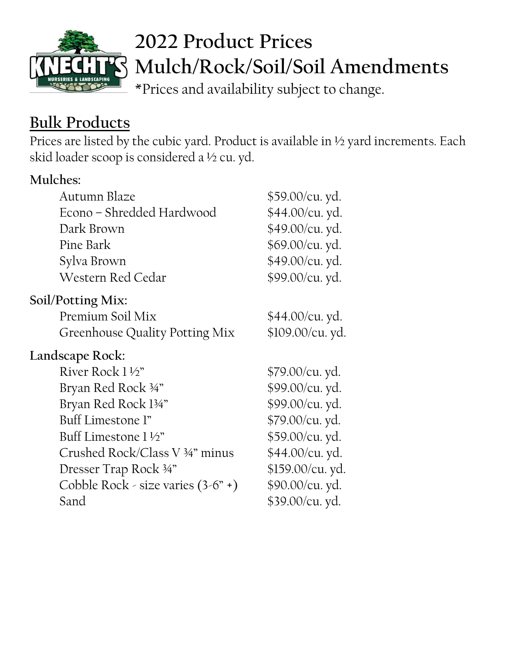

# **2022 Product Prices Mulch/Rock/Soil/Soil Amendments**

\*Prices and availability subject to change.

## **Bulk Products**

Prices are listed by the cubic yard. Product is available in ½ yard increments. Each skid loader scoop is considered a ½ cu. yd.

| <b>Mulches:</b>                      |                  |
|--------------------------------------|------------------|
| Autumn Blaze                         | \$59.00/cu. yd.  |
| Econo - Shredded Hardwood            | \$44.00/cu. yd.  |
| Dark Brown                           | \$49.00/cu. yd.  |
| Pine Bark                            | \$69.00/cu. yd.  |
| Sylva Brown                          | \$49.00/cu. yd.  |
| Western Red Cedar                    | \$99.00/cu. yd.  |
| Soil/Potting Mix:                    |                  |
| Premium Soil Mix                     | \$44.00/cu. yd.  |
| Greenhouse Quality Potting Mix       | \$109.00/cu. yd. |
| Landscape Rock:                      |                  |
| River Rock 1 ½"                      | \$79.00/cu. yd.  |
| Bryan Red Rock 34"                   | \$99.00/cu. yd.  |
| Bryan Red Rock 134"                  | \$99.00/cu. yd.  |
| Buff Limestone l"                    | \$79.00/cu. yd.  |
| Buff Limestone 1 1/2"                | \$59.00/cu. yd.  |
| Crushed Rock/Class V 34" minus       | \$44.00/cu. yd.  |
| Dresser Trap Rock 34"                | \$159.00/cu. yd. |
| Cobble Rock - size varies $(3-6" +)$ | \$90.00/cu. yd.  |
| Sand                                 | \$39.00/cu. yd.  |